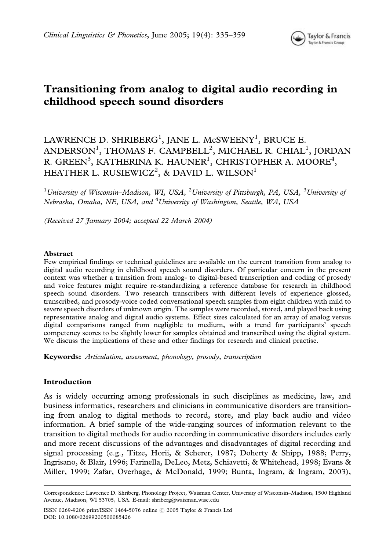

# Transitioning from analog to digital audio recording in childhood speech sound disorders

## LAWRENCE D. SHRIBERG<sup>1</sup>, JANE L. McSWEENY<sup>1</sup>, BRUCE E.  $\mathsf{ANDERSON}^1,$  THOMAS F. CAMPBELL $^2,$  MICHAEL R. CHIAL $^1,$  JORDAN R. GREEN<sup>3</sup>, KATHERINA K. HAUNER<sup>1</sup>, CHRISTOPHER A. MOORE<sup>4</sup>, HEATHER L. RUSIEWICZ<sup>2</sup>, & DAVID L. WILSON<sup>1</sup>

<sup>1</sup>University of Wisconsin–Madison, WI, USA, <sup>2</sup>University of Pittsburgh, PA, USA, <sup>3</sup>University of Nebraska, Omaha, NE, USA, and <sup>4</sup>University of Washington, Seattle, WA, USA

(Received 27 January 2004; accepted 22 March 2004)

#### Abstract

Few empirical findings or technical guidelines are available on the current transition from analog to digital audio recording in childhood speech sound disorders. Of particular concern in the present context was whether a transition from analog- to digital-based transcription and coding of prosody and voice features might require re-standardizing a reference database for research in childhood speech sound disorders. Two research transcribers with different levels of experience glossed, transcribed, and prosody-voice coded conversational speech samples from eight children with mild to severe speech disorders of unknown origin. The samples were recorded, stored, and played back using representative analog and digital audio systems. Effect sizes calculated for an array of analog versus digital comparisons ranged from negligible to medium, with a trend for participants' speech competency scores to be slightly lower for samples obtained and transcribed using the digital system. We discuss the implications of these and other findings for research and clinical practise.

Keywords: Articulation, assessment, phonology, prosody, transcription

#### Introduction

As is widely occurring among professionals in such disciplines as medicine, law, and business informatics, researchers and clinicians in communicative disorders are transitioning from analog to digital methods to record, store, and play back audio and video information. A brief sample of the wide-ranging sources of information relevant to the transition to digital methods for audio recording in communicative disorders includes early and more recent discussions of the advantages and disadvantages of digital recording and signal processing (e.g., Titze, Horii, & Scherer, 1987; Doherty & Shipp, 1988; Perry, Ingrisano, & Blair, 1996; Farinella, DeLeo, Metz, Schiavetti, & Whitehead, 1998; Evans & Miller, 1999; Zafar, Overhage, & McDonald, 1999; Bunta, Ingram, & Ingram, 2003),

Correspondence: Lawrence D. Shriberg, Phonology Project, Waisman Center, University of Wisconsin–Madison, 1500 Highland Avenue, Madison, WI 53705, USA. E-mail: shriberg@waisman.wisc.edu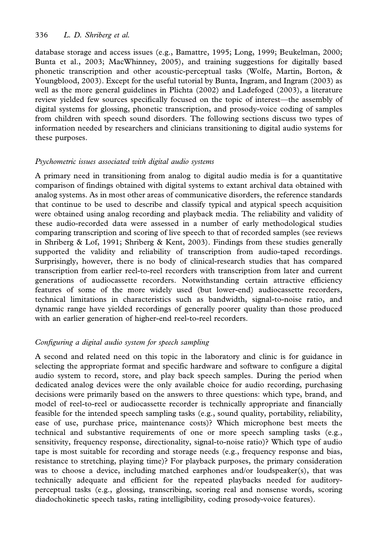database storage and access issues (e.g., Bamattre, 1995; Long, 1999; Beukelman, 2000; Bunta et al., 2003; MacWhinney, 2005), and training suggestions for digitally based phonetic transcription and other acoustic-perceptual tasks (Wolfe, Martin, Borton, & Youngblood, 2003). Except for the useful tutorial by Bunta, Ingram, and Ingram (2003) as well as the more general guidelines in Plichta (2002) and Ladefoged (2003), a literature review yielded few sources specifically focused on the topic of interest—the assembly of digital systems for glossing, phonetic transcription, and prosody-voice coding of samples from children with speech sound disorders. The following sections discuss two types of information needed by researchers and clinicians transitioning to digital audio systems for these purposes.

## Psychometric issues associated with digital audio systems

A primary need in transitioning from analog to digital audio media is for a quantitative comparison of findings obtained with digital systems to extant archival data obtained with analog systems. As in most other areas of communicative disorders, the reference standards that continue to be used to describe and classify typical and atypical speech acquisition were obtained using analog recording and playback media. The reliability and validity of these audio-recorded data were assessed in a number of early methodological studies comparing transcription and scoring of live speech to that of recorded samples (see reviews in Shriberg & Lof, 1991; Shriberg & Kent, 2003). Findings from these studies generally supported the validity and reliability of transcription from audio-taped recordings. Surprisingly, however, there is no body of clinical-research studies that has compared transcription from earlier reel-to-reel recorders with transcription from later and current generations of audiocassette recorders. Notwithstanding certain attractive efficiency features of some of the more widely used (but lower-end) audiocassette recorders, technical limitations in characteristics such as bandwidth, signal-to-noise ratio, and dynamic range have yielded recordings of generally poorer quality than those produced with an earlier generation of higher-end reel-to-reel recorders.

## Configuring a digital audio system for speech sampling

A second and related need on this topic in the laboratory and clinic is for guidance in selecting the appropriate format and specific hardware and software to configure a digital audio system to record, store, and play back speech samples. During the period when dedicated analog devices were the only available choice for audio recording, purchasing decisions were primarily based on the answers to three questions: which type, brand, and model of reel-to-reel or audiocassette recorder is technically appropriate and financially feasible for the intended speech sampling tasks (e.g., sound quality, portability, reliability, ease of use, purchase price, maintenance costs)? Which microphone best meets the technical and substantive requirements of one or more speech sampling tasks (e.g., sensitivity, frequency response, directionality, signal-to-noise ratio)? Which type of audio tape is most suitable for recording and storage needs (e.g., frequency response and bias, resistance to stretching, playing time)? For playback purposes, the primary consideration was to choose a device, including matched earphones and/or loudspeaker(s), that was technically adequate and efficient for the repeated playbacks needed for auditoryperceptual tasks (e.g., glossing, transcribing, scoring real and nonsense words, scoring diadochokinetic speech tasks, rating intelligibility, coding prosody-voice features).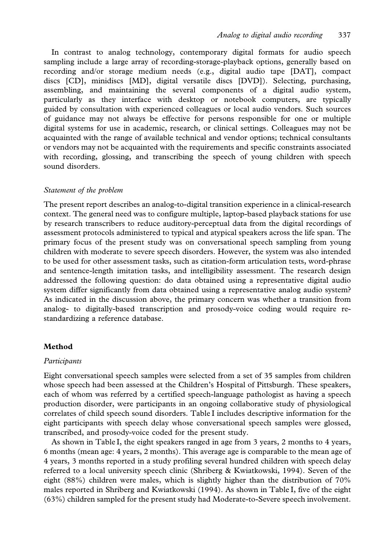In contrast to analog technology, contemporary digital formats for audio speech sampling include a large array of recording-storage-playback options, generally based on recording and/or storage medium needs (e.g., digital audio tape [DAT], compact discs [CD], minidiscs [MD], digital versatile discs [DVD]). Selecting, purchasing, assembling, and maintaining the several components of a digital audio system, particularly as they interface with desktop or notebook computers, are typically guided by consultation with experienced colleagues or local audio vendors. Such sources of guidance may not always be effective for persons responsible for one or multiple digital systems for use in academic, research, or clinical settings. Colleagues may not be acquainted with the range of available technical and vendor options; technical consultants or vendors may not be acquainted with the requirements and specific constraints associated with recording, glossing, and transcribing the speech of young children with speech sound disorders.

## Statement of the problem

The present report describes an analog-to-digital transition experience in a clinical-research context. The general need was to configure multiple, laptop-based playback stations for use by research transcribers to reduce auditory-perceptual data from the digital recordings of assessment protocols administered to typical and atypical speakers across the life span. The primary focus of the present study was on conversational speech sampling from young children with moderate to severe speech disorders. However, the system was also intended to be used for other assessment tasks, such as citation-form articulation tests, word-phrase and sentence-length imitation tasks, and intelligibility assessment. The research design addressed the following question: do data obtained using a representative digital audio system differ significantly from data obtained using a representative analog audio system? As indicated in the discussion above, the primary concern was whether a transition from analog- to digitally-based transcription and prosody-voice coding would require restandardizing a reference database.

## Method

#### Participants

Eight conversational speech samples were selected from a set of 35 samples from children whose speech had been assessed at the Children's Hospital of Pittsburgh. These speakers, each of whom was referred by a certified speech-language pathologist as having a speech production disorder, were participants in an ongoing collaborative study of physiological correlates of child speech sound disorders. Table I includes descriptive information for the eight participants with speech delay whose conversational speech samples were glossed, transcribed, and prosody-voice coded for the present study.

As shown in Table I, the eight speakers ranged in age from 3 years, 2 months to 4 years, 6 months (mean age: 4 years, 2 months). This average age is comparable to the mean age of 4 years, 3 months reported in a study profiling several hundred children with speech delay referred to a local university speech clinic (Shriberg & Kwiatkowski, 1994). Seven of the eight (88%) children were males, which is slightly higher than the distribution of 70% males reported in Shriberg and Kwiatkowski (1994). As shown in Table I, five of the eight (63%) children sampled for the present study had Moderate-to-Severe speech involvement.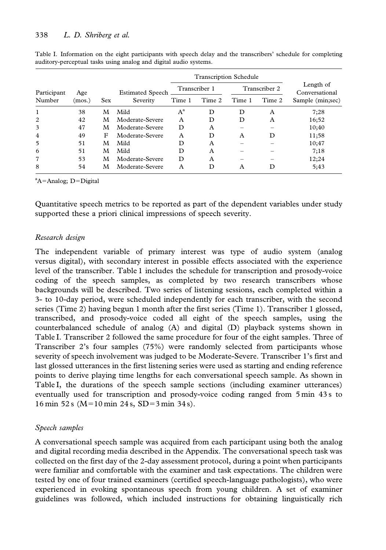|                |        |     |                         |               | <b>Transcription Schedule</b> |        |               |                             |
|----------------|--------|-----|-------------------------|---------------|-------------------------------|--------|---------------|-----------------------------|
| Participant    | Age    |     | <b>Estimated Speech</b> | Transcriber 1 |                               |        | Transcriber 2 | Length of<br>Conversational |
| Number         | (mos.) | Sex | Severity                | Time 1        | Time 2                        | Time 1 | Time 2        | Sample (min;sec)            |
| 1              | 38     | M   | Mild                    | $A^a$         | D                             | D      | A             | 7:28                        |
| 2              | 42     | M   | Moderate-Severe         | A             | D                             | D      | A             | 16;52                       |
| 3              | 47     | M   | Moderate-Severe         | D             | A                             |        |               | 10;40                       |
| $\overline{4}$ | 49     | F   | Moderate-Severe         | A             | D                             | A      | D             | 11;58                       |
| 5              | 51     | М   | Mild                    | D             | A                             |        |               | 10;47                       |
| 6              | 51     | M   | Mild                    | D             | A                             |        |               | 7:18                        |
| 7              | 53     | М   | Moderate-Severe         | D             | A                             |        |               | 12;24                       |
| 8              | 54     | M   | Moderate-Severe         | А             | D                             | A      | D             | 5:43                        |

Table I. Information on the eight participants with speech delay and the transcribers' schedule for completing auditory-perceptual tasks using analog and digital audio systems.

<sup>a</sup>A=Analog; D=Digital

Quantitative speech metrics to be reported as part of the dependent variables under study supported these a priori clinical impressions of speech severity.

#### Research design

The independent variable of primary interest was type of audio system (analog versus digital), with secondary interest in possible effects associated with the experience level of the transcriber. Table 1 includes the schedule for transcription and prosody-voice coding of the speech samples, as completed by two research transcribers whose backgrounds will be described. Two series of listening sessions, each completed within a 3- to 10-day period, were scheduled independently for each transcriber, with the second series (Time 2) having begun 1 month after the first series (Time 1). Transcriber 1 glossed, transcribed, and prosody-voice coded all eight of the speech samples, using the counterbalanced schedule of analog (A) and digital (D) playback systems shown in Table I. Transcriber 2 followed the same procedure for four of the eight samples. Three of Transcriber 2's four samples (75%) were randomly selected from participants whose severity of speech involvement was judged to be Moderate-Severe. Transcriber 1's first and last glossed utterances in the first listening series were used as starting and ending reference points to derive playing time lengths for each conversational speech sample. As shown in Table I, the durations of the speech sample sections (including examiner utterances) eventually used for transcription and prosody-voice coding ranged from 5 min 43 s to  $16 \text{ min } 52 \text{ s } (M=10 \text{ min } 24 \text{ s}, SD=3 \text{ min } 34 \text{ s}).$ 

## Speech samples

A conversational speech sample was acquired from each participant using both the analog and digital recording media described in the Appendix. The conversational speech task was collected on the first day of the 2-day assessment protocol, during a point when participants were familiar and comfortable with the examiner and task expectations. The children were tested by one of four trained examiners (certified speech-language pathologists), who were experienced in evoking spontaneous speech from young children. A set of examiner guidelines was followed, which included instructions for obtaining linguistically rich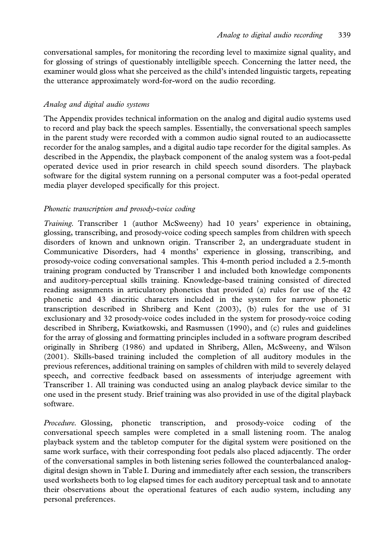conversational samples, for monitoring the recording level to maximize signal quality, and for glossing of strings of questionably intelligible speech. Concerning the latter need, the examiner would gloss what she perceived as the child's intended linguistic targets, repeating the utterance approximately word-for-word on the audio recording.

#### Analog and digital audio systems

The Appendix provides technical information on the analog and digital audio systems used to record and play back the speech samples. Essentially, the conversational speech samples in the parent study were recorded with a common audio signal routed to an audiocassette recorder for the analog samples, and a digital audio tape recorder for the digital samples. As described in the Appendix, the playback component of the analog system was a foot-pedal operated device used in prior research in child speech sound disorders. The playback software for the digital system running on a personal computer was a foot-pedal operated media player developed specifically for this project.

## Phonetic transcription and prosody-voice coding

Training. Transcriber 1 (author McSweeny) had 10 years' experience in obtaining, glossing, transcribing, and prosody-voice coding speech samples from children with speech disorders of known and unknown origin. Transcriber 2, an undergraduate student in Communicative Disorders, had 4 months' experience in glossing, transcribing, and prosody-voice coding conversational samples. This 4-month period included a 2.5-month training program conducted by Transcriber 1 and included both knowledge components and auditory-perceptual skills training. Knowledge-based training consisted of directed reading assignments in articulatory phonetics that provided (a) rules for use of the 42 phonetic and 43 diacritic characters included in the system for narrow phonetic transcription described in Shriberg and Kent (2003), (b) rules for the use of 31 exclusionary and 32 prosody-voice codes included in the system for prosody-voice coding described in Shriberg, Kwiatkowski, and Rasmussen (1990), and (c) rules and guidelines for the array of glossing and formatting principles included in a software program described originally in Shriberg (1986) and updated in Shriberg, Allen, McSweeny, and Wilson (2001). Skills-based training included the completion of all auditory modules in the previous references, additional training on samples of children with mild to severely delayed speech, and corrective feedback based on assessments of interjudge agreement with Transcriber 1. All training was conducted using an analog playback device similar to the one used in the present study. Brief training was also provided in use of the digital playback software.

Procedure. Glossing, phonetic transcription, and prosody-voice coding of the conversational speech samples were completed in a small listening room. The analog playback system and the tabletop computer for the digital system were positioned on the same work surface, with their corresponding foot pedals also placed adjacently. The order of the conversational samples in both listening series followed the counterbalanced analogdigital design shown in Table I. During and immediately after each session, the transcribers used worksheets both to log elapsed times for each auditory perceptual task and to annotate their observations about the operational features of each audio system, including any personal preferences.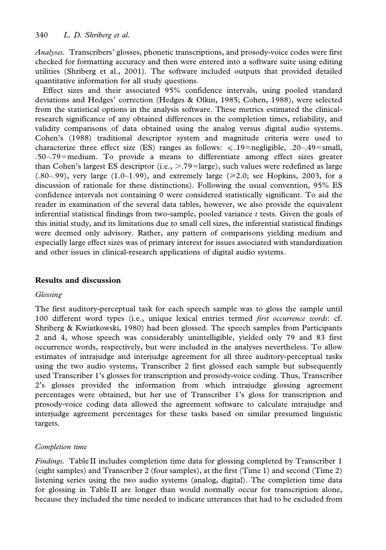Analyses. Transcribers' glosses, phonetic transcriptions, and prosody-voice codes were first checked for formatting accuracy and then were entered into a software suite using editing utilities (Shriberg et al., 2001). The software included outputs that provided detailed quantitative information for all study questions.

Effect sizes and their associated 95% confidence intervals, using pooled standard deviations and Hedges' correction (Hedges & Olkin, 1985; Cohen, 1988), were selected from the statistical options in the analysis software. These metrics estimated the clinicalresearch significance of any obtained differences in the completion times, reliability, and validity comparisons of data obtained using the analog versus digital audio systems. Cohen's (1988) traditional descriptor system and magnitude criteria were used to characterize three effect size (ES) ranges as follows:  $\leq 19$ =negligible, .20–.49=small, .50–.795medium. To provide a means to differentiate among effect sizes greater than Cohen's largest ES descriptor (i.e.,  $> .79$ =large), such values were redefined as large  $(.80-.99)$ , very large  $(1.0-1.99)$ , and extremely large  $(\geq 2.0;$  see Hopkins, 2003, for a discussion of rationale for these distinctions). Following the usual convention, 95% ES confidence intervals not containing 0 were considered statistically significant. To aid the reader in examination of the several data tables, however, we also provide the equivalent inferential statistical findings from two-sample, pooled variance  $t$  tests. Given the goals of this initial study, and its limitations due to small cell sizes, the inferential statistical findings were deemed only advisory. Rather, any pattern of comparisons yielding medium and especially large effect sizes was of primary interest for issues associated with standardization and other issues in clinical-research applications of digital audio systems.

## Results and discussion

## Glossing

The first auditory-perceptual task for each speech sample was to gloss the sample until 100 different word types (i.e., unique lexical entries termed first occurrence words: cf. Shriberg & Kwiatkowski, 1980) had been glossed. The speech samples from Participants 2 and 4, whose speech was considerably unintelligible, yielded only 79 and 83 first occurrence words, respectively, but were included in the analyses nevertheless. To allow estimates of intrajudge and interjudge agreement for all three auditory-perceptual tasks using the two audio systems, Transcriber 2 first glossed each sample but subsequently used Transcriber 1's glosses for transcription and prosody-voice coding. Thus, Transcriber 2's glosses provided the information from which intrajudge glossing agreement percentages were obtained, but her use of Transcriber 1's gloss for transcription and prosody-voice coding data allowed the agreement software to calculate intrajudge and interjudge agreement percentages for these tasks based on similar presumed linguistic targets.

## Completion time

Findings. Table II includes completion time data for glossing completed by Transcriber 1 (eight samples) and Transcriber 2 (four samples), at the first (Time 1) and second (Time 2) listening series using the two audio systems (analog, digital). The completion time data for glossing in Table II are longer than would normally occur for transcription alone, because they included the time needed to indicate utterances that had to be excluded from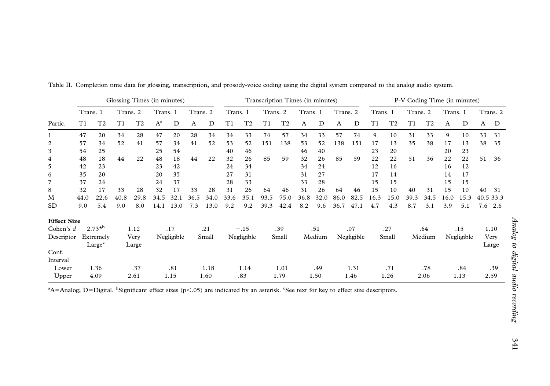|                    | Glossing Times (in minutes) |                    |          |                |          |            |          |         |          |                |          | Transcription Times (in minutes) |          |        |          |            |          |                |          |                |          | P-V Coding Time (in minutes) |     |           |
|--------------------|-----------------------------|--------------------|----------|----------------|----------|------------|----------|---------|----------|----------------|----------|----------------------------------|----------|--------|----------|------------|----------|----------------|----------|----------------|----------|------------------------------|-----|-----------|
|                    | Trans. 1                    |                    | Trans. 2 |                | Trans. 1 |            | Trans. 2 |         | Trans. 1 |                | Trans. 2 |                                  | Trans. 1 |        | Trans. 2 |            | Trans. 1 |                | Trans. 2 |                | Trans. 1 |                              |     | Trans. 2  |
| Partic.            | T <sub>1</sub>              | T <sub>2</sub>     | T1       | T <sub>2</sub> | $A^a$    | D          | A        | D       | T1       | T <sub>2</sub> | T1       | T <sub>2</sub>                   | A        | D      | A        | D          | T1       | T <sub>2</sub> | T1       | T <sub>2</sub> | A        | D                            | A   | D         |
| 1                  | 47                          | 20                 | 34       | 28             | 47       | 20         | 28       | 34      | 34       | 33             | 74       | 57                               | 34       | 33     | 57       | 74         | 9        | 10             | 31       | 33             | 9        | 10                           | 33  | 31        |
| 2                  | 57                          | 34                 | 52       | 41             | 57       | 34         | 41       | 52      | 53       | 52             | 151      | 138                              | 53       | 52     | 138      | 151        | 17       | 13             | 35       | 38             | 17       | 13                           | 38  | 35        |
| 3                  | 54                          | 25                 |          |                | 25       | 54         |          |         | 40       | 46             |          |                                  | 46       | 40     |          |            | 23       | 20             |          |                | 20       | 23                           |     |           |
| 4                  | 48                          | 18                 | 44       | 22             | 48       | 18         | 44       | 22      | 32       | 26             | 85       | 59                               | 32       | 26     | 85       | 59         | 22       | 22             | 51       | 36             | 22       | 22                           | 51  | 36        |
| 5                  | 42                          | 23                 |          |                | 23       | 42         |          |         | 24       | 34             |          |                                  | 34       | 24     |          |            | 12       | 16             |          |                | 16       | 12                           |     |           |
| 6                  | 35                          | 20                 |          |                | 20       | 35         |          |         | 27       | 31             |          |                                  | 31       | 27     |          |            | 17       | 14             |          |                | 14       | 17                           |     |           |
| $\overline{7}$     | 37                          | 24                 |          |                | 24       | 37         |          |         | 28       | 33             |          |                                  | 33       | 28     |          |            | 15       | 15             |          |                | 15       | 15                           |     |           |
| 8                  | 32                          | 17                 | 33       | 28             | 32       | 17         | 33       | 28      | 31       | 26             | 64       | 46                               | 31       | 26     | 64       | 46         | 15       | 10             | 40       | 31             | 15       | 10                           | 40  | 31        |
| M                  | 44.0                        | 22.6               | 40.8     | 29.8           | 34.5     | 32.1       | 36.5     | 34.0    | 33.6     | 35.1           | 93.5     | 75.0                             | 36.8     | 32.0   | 86.0     | 82.5       | 16.3     | 15.0           | 39.3     | 34.5           | 16.0     | 15.3                         |     | 40.5 33.3 |
| <b>SD</b>          | 9.0                         | 5.4                | 9.0      | 8.0            | 14.1     | 13.0       | 7.3      | 13.0    | 9.2      | 9.2            | 39.3     | 42.4                             | 8.2      | 9.6    | 36.7     | 47.1       | 4.7      | 4.3            | 8.7      | 3.1            | 3.9      | 5.1                          | 7.6 | 2.6       |
| <b>Effect Size</b> |                             |                    |          |                |          |            |          |         |          |                |          |                                  |          |        |          |            |          |                |          |                |          |                              |     |           |
| Cohen's $d$        |                             | $2.73*^{b}$        |          | 1.12           |          | .17        |          | .21     |          | $-.15$         |          | .39                              |          | .51    |          | .07        |          | .27            |          | .64            |          | .15                          |     | 1.10      |
| Descriptor         |                             | Extremely          |          | Very           |          | Negligible |          | Small   |          | Negligible     |          | Small                            |          | Medium |          | Negligible |          | Small          |          | Medium         |          | Negligible                   |     | Very      |
|                    |                             | Large <sup>c</sup> |          | Large          |          |            |          |         |          |                |          |                                  |          |        |          |            |          |                |          |                |          |                              |     | Large     |
| Conf.<br>Interval  |                             |                    |          |                |          |            |          |         |          |                |          |                                  |          |        |          |            |          |                |          |                |          |                              |     |           |
| Lower              |                             | 1.36               |          | $-.37$         |          | $-.81$     |          | $-1.18$ |          | $-1.14$        |          | $-1.01$                          |          | $-.49$ |          | $-1.31$    |          | $-.71$         |          | $-.78$         |          | $-.84$                       |     | $-.39$    |
| Upper              |                             | 4.09               |          | 2.61           |          | 1.15       |          | 1.60    |          | .83            |          | 1.79                             |          | 1.50   |          | 1.46       |          | 1.26           |          | 2.06           |          | 1.13                         |     | 2.59      |

Table II. Completion time data for glossing, transcription, and prosody-voice coding using the digital system compared to the analog audio system.

<sup>a</sup>A=Analog; D=Digital. <sup>b</sup>Significant effect sizes (p<.05) are indicated by an asterisk. <sup>c</sup>See text for key to effect size descriptors.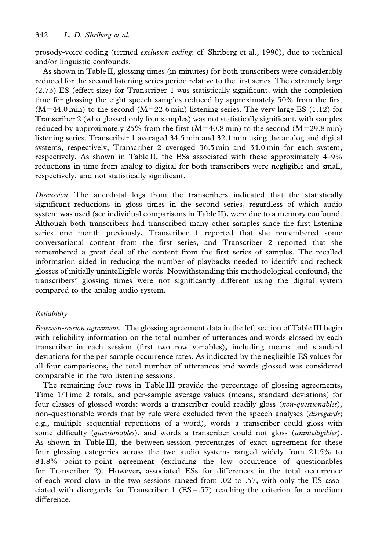prosody-voice coding (termed exclusion coding: cf. Shriberg et al., 1990), due to technical and/or linguistic confounds.

As shown in Table II, glossing times (in minutes) for both transcribers were considerably reduced for the second listening series period relative to the first series. The extremely large (2.73) ES (effect size) for Transcriber 1 was statistically significant, with the completion time for glossing the eight speech samples reduced by approximately 50% from the first  $(M=44.0 \text{ min})$  to the second  $(M=22.6 \text{ min})$  listening series. The very large ES (1.12) for Transcriber 2 (who glossed only four samples) was not statistically significant, with samples reduced by approximately 25% from the first  $(M=40.8 \text{ min})$  to the second  $(M=29.8 \text{ min})$ listening series. Transcriber 1 averaged 34.5 min and 32.1 min using the analog and digital systems, respectively; Transcriber 2 averaged 36.5 min and 34.0 min for each system, respectively. As shown in Table II, the ESs associated with these approximately 4–9% reductions in time from analog to digital for both transcribers were negligible and small, respectively, and not statistically significant.

Discussion. The anecdotal logs from the transcribers indicated that the statistically significant reductions in gloss times in the second series, regardless of which audio system was used (see individual comparisons in Table II), were due to a memory confound. Although both transcribers had transcribed many other samples since the first listening series one month previously, Transcriber 1 reported that she remembered some conversational content from the first series, and Transcriber 2 reported that she remembered a great deal of the content from the first series of samples. The recalled information aided in reducing the number of playbacks needed to identify and recheck glosses of initially unintelligible words. Notwithstanding this methodological confound, the transcribers' glossing times were not significantly different using the digital system compared to the analog audio system.

## Reliability

Between-session agreement. The glossing agreement data in the left section of Table III begin with reliability information on the total number of utterances and words glossed by each transcriber in each session (first two row variables), including means and standard deviations for the per-sample occurrence rates. As indicated by the negligible ES values for all four comparisons, the total number of utterances and words glossed was considered comparable in the two listening sessions.

The remaining four rows in Table III provide the percentage of glossing agreements, Time 1/Time 2 totals, and per-sample average values (means, standard deviations) for four classes of glossed words: words a transcriber could readily gloss (non-questionables), non-questionable words that by rule were excluded from the speech analyses (disregards; e.g., multiple sequential repetitions of a word), words a transcriber could gloss with some difficulty (*questionables*), and words a transcriber could not gloss (*unintelligibles*). As shown in Table III, the between-session percentages of exact agreement for these four glossing categories across the two audio systems ranged widely from 21.5% to 84.8% point-to-point agreement (excluding the low occurrence of questionables for Transcriber 2). However, associated ESs for differences in the total occurrence of each word class in the two sessions ranged from .02 to .57, with only the ES associated with disregards for Transcriber 1 ( $ES = .57$ ) reaching the criterion for a medium difference.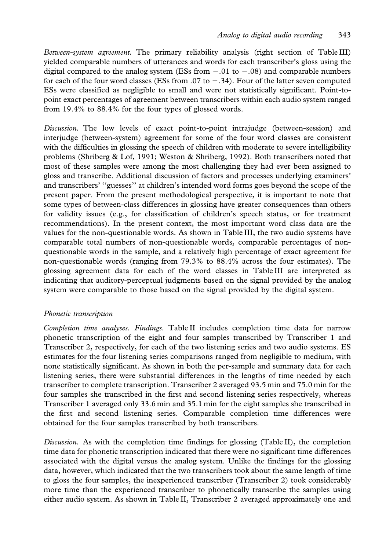Between-system agreement. The primary reliability analysis (right section of Table III) yielded comparable numbers of utterances and words for each transcriber's gloss using the digital compared to the analog system (ESs from  $-.01$  to  $-.08$ ) and comparable numbers for each of the four word classes (ESs from .07 to  $-.34$ ). Four of the latter seven computed ESs were classified as negligible to small and were not statistically significant. Point-topoint exact percentages of agreement between transcribers within each audio system ranged from 19.4% to 88.4% for the four types of glossed words.

Discussion. The low levels of exact point-to-point intrajudge (between-session) and interjudge (between-system) agreement for some of the four word classes are consistent with the difficulties in glossing the speech of children with moderate to severe intelligibility problems (Shriberg & Lof, 1991; Weston & Shriberg, 1992). Both transcribers noted that most of these samples were among the most challenging they had ever been assigned to gloss and transcribe. Additional discussion of factors and processes underlying examiners' and transcribers' ''guesses'' at children's intended word forms goes beyond the scope of the present paper. From the present methodological perspective, it is important to note that some types of between-class differences in glossing have greater consequences than others for validity issues (e.g., for classification of children's speech status, or for treatment recommendations). In the present context, the most important word class data are the values for the non-questionable words. As shown in Table III, the two audio systems have comparable total numbers of non-questionable words, comparable percentages of nonquestionable words in the sample, and a relatively high percentage of exact agreement for non-questionable words (ranging from 79.3% to 88.4% across the four estimates). The glossing agreement data for each of the word classes in Table III are interpreted as indicating that auditory-perceptual judgments based on the signal provided by the analog system were comparable to those based on the signal provided by the digital system.

## Phonetic transcription

Completion time analyses. Findings. Table II includes completion time data for narrow phonetic transcription of the eight and four samples transcribed by Transcriber 1 and Transcriber 2, respectively, for each of the two listening series and two audio systems. ES estimates for the four listening series comparisons ranged from negligible to medium, with none statistically significant. As shown in both the per-sample and summary data for each listening series, there were substantial differences in the lengths of time needed by each transcriber to complete transcription. Transcriber 2 averaged 93.5 min and 75.0 min for the four samples she transcribed in the first and second listening series respectively, whereas Transcriber 1 averaged only 33.6 min and 35.1 min for the eight samples she transcribed in the first and second listening series. Comparable completion time differences were obtained for the four samples transcribed by both transcribers.

Discussion. As with the completion time findings for glossing (Table II), the completion time data for phonetic transcription indicated that there were no significant time differences associated with the digital versus the analog system. Unlike the findings for the glossing data, however, which indicated that the two transcribers took about the same length of time to gloss the four samples, the inexperienced transcriber (Transcriber 2) took considerably more time than the experienced transcriber to phonetically transcribe the samples using either audio system. As shown in Table II, Transcriber 2 averaged approximately one and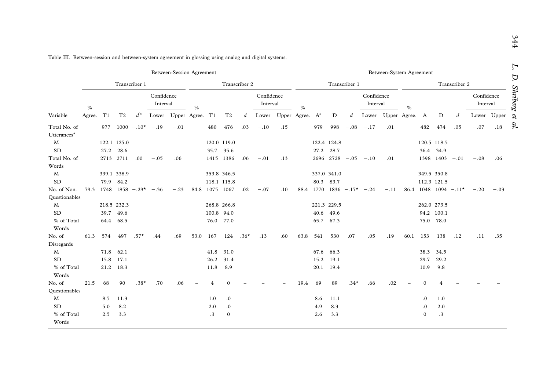|                         |        |      |               |                   |                        | Between-Session Agreement |               |                |                |                  |                        |                    |      |             |             |                        |                        | Between-System Agreement |      |          |                        |               |                        |             |
|-------------------------|--------|------|---------------|-------------------|------------------------|---------------------------|---------------|----------------|----------------|------------------|------------------------|--------------------|------|-------------|-------------|------------------------|------------------------|--------------------------|------|----------|------------------------|---------------|------------------------|-------------|
|                         |        |      |               | Transcriber 1     |                        |                           |               |                | Transcriber 2  |                  |                        |                    |      |             |             | Transcriber 1          |                        |                          |      |          |                        | Transcriber 2 |                        |             |
|                         | $\%$   |      |               |                   | Confidence<br>Interval |                           | $\frac{0}{0}$ |                |                |                  | Confidence<br>Interval |                    | $\%$ |             |             |                        | Confidence<br>Interval |                          | $\%$ |          |                        |               | Confidence<br>Interval |             |
| Variable                | Agree. | T1   | $\mathrm{T}2$ | $d^{\rm b}$       |                        | Lower Upper Agree. T1     |               |                | T <sub>2</sub> | $\boldsymbol{d}$ | Lower                  | Upper Agree. $A^c$ |      |             | D           | $\overline{d}$         |                        | Lower Upper Agree.       |      | A        | D                      | d             |                        | Lower Upper |
| Total No. of            |        | 977  |               | $1000 - 10*$      | $-.19$                 | $-.01$                    |               | 480            | 476            | .03              | $-.10$                 | .15                |      | 979         | 998         | $-.08$                 | $-.17$                 | .01                      |      | 482      | 474                    | .05           | $-.07$                 | .18         |
| Utterances <sup>a</sup> |        |      |               |                   |                        |                           |               |                |                |                  |                        |                    |      |             |             |                        |                        |                          |      |          |                        |               |                        |             |
| M                       |        |      | 122.1 125.0   |                   |                        |                           |               | 120.0 119.0    |                |                  |                        |                    |      |             | 122.4 124.8 |                        |                        |                          |      |          | 120.5 118.5            |               |                        |             |
| <b>SD</b>               |        | 27.2 | 28.6          |                   |                        |                           |               | 35.7           | 35.6           |                  |                        |                    |      | 27.2        | 28.7        |                        |                        |                          |      |          | 36.4 34.9              |               |                        |             |
| Total No. of            |        |      | 2713 2711     | .00.              | $-.05$                 | .06                       |               |                | 1415 1386      | .06              | $-.01$                 | .13                |      |             | 2696 2728   | $-.05$                 | $-.10$                 | .01                      |      |          | 1398 1403              | $-.01$        | $-.08$                 | .06         |
| Words                   |        |      |               |                   |                        |                           |               |                |                |                  |                        |                    |      |             |             |                        |                        |                          |      |          |                        |               |                        |             |
| M                       |        |      | 339.1 338.9   |                   |                        |                           |               | 353.8 346.5    |                |                  |                        |                    |      | 337.0 341.0 |             |                        |                        |                          |      |          | 349.5 350.8            |               |                        |             |
| <b>SD</b>               |        |      | 79.9 84.2     |                   |                        |                           |               | 118.1 115.8    |                |                  |                        |                    |      | 80.3        | 83.7        |                        |                        |                          |      |          | 112.3 121.5            |               |                        |             |
| No. of Non-             | 79.3   |      |               | 1748 1858 $-.29*$ | $-.36$                 | $-.23$                    |               | 84.8 1075 1067 |                | .02              | $-.07$                 | .10                |      |             |             | 88.4 1770 1836 $-.17*$ | $-.24$                 | $-.11$                   |      |          | 86.4 1048 1094 $-.11*$ |               | $-.20$                 | $-.03$      |
| Questionables           |        |      |               |                   |                        |                           |               |                |                |                  |                        |                    |      |             |             |                        |                        |                          |      |          |                        |               |                        |             |
| M                       |        |      | 218.5 232.3   |                   |                        |                           |               | 268.8 266.8    |                |                  |                        |                    |      | 221.3 229.5 |             |                        |                        |                          |      |          | 262.0 273.5            |               |                        |             |
| <b>SD</b>               |        | 39.7 | 49.6          |                   |                        |                           |               | 100.8 94.0     |                |                  |                        |                    |      | 40.6        | 49.6        |                        |                        |                          |      |          | 94.2 100.1             |               |                        |             |
| % of Total              |        |      | 64.4 68.5     |                   |                        |                           |               | 76.0 77.0      |                |                  |                        |                    |      | 65.7 67.3   |             |                        |                        |                          |      |          | 75.0 78.0              |               |                        |             |
| Words                   |        |      |               |                   |                        |                           |               |                |                |                  |                        |                    |      |             |             |                        |                        |                          |      |          |                        |               |                        |             |
| No. of                  | 61.3   | 574  | 497           | $.57*$            | .44                    | .69                       | 53.0          | 167            | 124            | $.36*$           | .13                    | .60                | 63.8 | 541         | 530         | .07                    | $-.05$                 | .19                      | 60.1 | 153      | 138                    | .12           | $-.11$                 | .35         |
| Disregards              |        |      |               |                   |                        |                           |               |                |                |                  |                        |                    |      |             |             |                        |                        |                          |      |          |                        |               |                        |             |
| M                       |        | 71.8 | 62.1          |                   |                        |                           |               | 41.8           | 31.0           |                  |                        |                    |      | 67.6        | 66.3        |                        |                        |                          |      | 38.3     | 34.5                   |               |                        |             |
| <b>SD</b>               |        | 15.8 | 17.1          |                   |                        |                           |               | 26.2           | 31.4           |                  |                        |                    |      | 15.2        | 19.1        |                        |                        |                          |      | 29.7     | 29.2                   |               |                        |             |
| % of Total              |        | 21.2 | 18.3          |                   |                        |                           |               | 11.8           | 8.9            |                  |                        |                    |      | 20.1        | 19.4        |                        |                        |                          |      | 10.9     | 9.8                    |               |                        |             |
| Words                   |        |      |               |                   |                        |                           |               |                |                |                  |                        |                    |      |             |             |                        |                        |                          |      |          |                        |               |                        |             |
| No. of                  | 21.5   | 68   | 90            | $-.38*$           | $-.70$                 | $-.06$                    |               | 4              | $\Omega$       |                  |                        |                    | 19.4 | 69          | 89          | $-.34*$                | $-.66$                 | $-.02$                   |      | $\Omega$ | $\overline{4}$         |               |                        |             |
| Questionables           |        |      |               |                   |                        |                           |               |                |                |                  |                        |                    |      |             |             |                        |                        |                          |      |          |                        |               |                        |             |
| M                       |        | 8.5  | 11.3          |                   |                        |                           |               | 1.0            | 0.             |                  |                        |                    |      | 8.6         | 11.1        |                        |                        |                          |      | .0       | 1.0                    |               |                        |             |
| <b>SD</b>               |        | 5.0  | 8.2           |                   |                        |                           |               | 2.0            | $\cdot$        |                  |                        |                    |      | 4.9         | 8.3         |                        |                        |                          |      | .0       | 2.0                    |               |                        |             |
| % of Total              |        | 2.5  | 3.3           |                   |                        |                           |               | .3             | $\mathbf{0}$   |                  |                        |                    |      | 2.6         | 3.3         |                        |                        |                          |      | $\Omega$ | $\cdot$ 3              |               |                        |             |
| Words                   |        |      |               |                   |                        |                           |               |                |                |                  |                        |                    |      |             |             |                        |                        |                          |      |          |                        |               |                        |             |

Table III. Between-session and between-system agreement in glossing using analog and digital systems.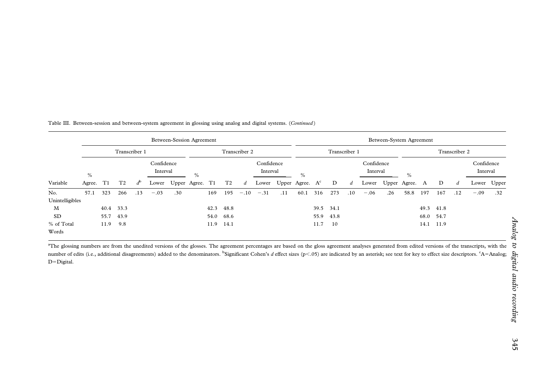|                 | Between-Session Agreement<br>Transcriber 1<br>Transcriber 2 |      |                |             |                        |                  |      |      |                |                  |                        |                    |      |      |               |                  |                        | Between-System Agreement |      |      |      |               |                        |       |
|-----------------|-------------------------------------------------------------|------|----------------|-------------|------------------------|------------------|------|------|----------------|------------------|------------------------|--------------------|------|------|---------------|------------------|------------------------|--------------------------|------|------|------|---------------|------------------------|-------|
|                 |                                                             |      |                |             |                        |                  |      |      |                |                  |                        |                    |      |      | Transcriber 1 |                  |                        |                          |      |      |      | Transcriber 2 |                        |       |
|                 | $\%$                                                        |      |                |             | Confidence<br>Interval |                  | $\%$ |      |                |                  | Confidence<br>Interval |                    | $\%$ |      |               |                  | Confidence<br>Interval |                          | $\%$ |      |      |               | Confidence<br>Interval |       |
| Variable        | Agree. T1                                                   |      | T <sub>2</sub> | $d^{\circ}$ | Lower                  | Upper Agree. T1  |      |      | T <sub>2</sub> | $\boldsymbol{d}$ | Lower                  | Upper Agree. $A^c$ |      |      | D             | $\boldsymbol{d}$ | Lower                  | Upper Agree. A           |      |      | D    | d             | Lower                  | Upper |
| No.             | 57.1                                                        | 323  | 266            | .13         | $-.03$                 | .30 <sub>0</sub> |      | 169  | 195            | $-.10$           | $-.31$                 | .11                | 60.1 | 316  | 273           | .10              | $-.06$                 | .26                      | 58.8 | 197  | 167  | .12           | $-.09$                 | .32   |
| Unintelligibles |                                                             |      |                |             |                        |                  |      |      |                |                  |                        |                    |      |      |               |                  |                        |                          |      |      |      |               |                        |       |
| M               |                                                             | 40.4 | 33.3           |             |                        |                  |      | 42.3 | 48.8           |                  |                        |                    |      | 39.5 | 34.1          |                  |                        |                          |      | 49.3 | 41.8 |               |                        |       |
| <b>SD</b>       |                                                             | 55.7 | 43.9           |             |                        |                  |      | 54.0 | 68.6           |                  |                        |                    |      | 55.9 | 43.8          |                  |                        |                          |      | 68.0 | 54.7 |               |                        |       |
| % of Total      |                                                             | 11.9 | 9.8            |             |                        |                  |      | 11.9 | 14.1           |                  |                        |                    |      | 11.7 | 10            |                  |                        |                          |      | 14.1 | 11.9 |               |                        |       |
| Words           |                                                             |      |                |             |                        |                  |      |      |                |                  |                        |                    |      |      |               |                  |                        |                          |      |      |      |               |                        |       |

Table III. Between-session and between-system agreement in glossing using analog and digital systems. (Continued)

<sup>a</sup>The glossing numbers are from the unedited versions of the glosses. The agreement percentages are based on the gloss agreement analyses generated from edited versions of the transcripts, with the number of edits (i.e., additional disagreements) added to the denominators. "Significant Cohen's d effect sizes (p<.05) are indicated by an asterisk; see text for key to effect size descriptors. "A=Analog; D=Digital.

345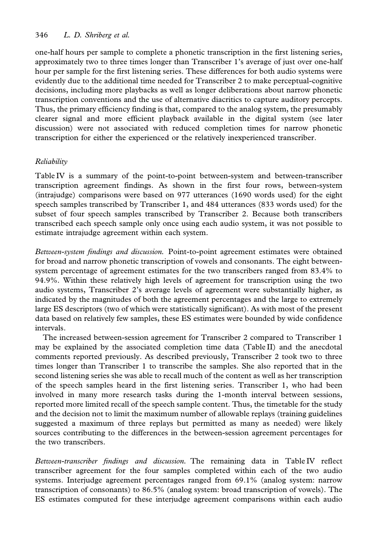one-half hours per sample to complete a phonetic transcription in the first listening series, approximately two to three times longer than Transcriber 1's average of just over one-half hour per sample for the first listening series. These differences for both audio systems were evidently due to the additional time needed for Transcriber 2 to make perceptual-cognitive decisions, including more playbacks as well as longer deliberations about narrow phonetic transcription conventions and the use of alternative diacritics to capture auditory percepts. Thus, the primary efficiency finding is that, compared to the analog system, the presumably clearer signal and more efficient playback available in the digital system (see later discussion) were not associated with reduced completion times for narrow phonetic transcription for either the experienced or the relatively inexperienced transcriber.

## Reliability

Table IV is a summary of the point-to-point between-system and between-transcriber transcription agreement findings. As shown in the first four rows, between-system (intrajudge) comparisons were based on 977 utterances (1690 words used) for the eight speech samples transcribed by Transcriber 1, and 484 utterances (833 words used) for the subset of four speech samples transcribed by Transcriber 2. Because both transcribers transcribed each speech sample only once using each audio system, it was not possible to estimate intrajudge agreement within each system.

Between-system findings and discussion. Point-to-point agreement estimates were obtained for broad and narrow phonetic transcription of vowels and consonants. The eight betweensystem percentage of agreement estimates for the two transcribers ranged from 83.4% to 94.9%. Within these relatively high levels of agreement for transcription using the two audio systems, Transcriber 2's average levels of agreement were substantially higher, as indicated by the magnitudes of both the agreement percentages and the large to extremely large ES descriptors (two of which were statistically significant). As with most of the present data based on relatively few samples, these ES estimates were bounded by wide confidence intervals.

The increased between-session agreement for Transcriber 2 compared to Transcriber 1 may be explained by the associated completion time data (Table II) and the anecdotal comments reported previously. As described previously, Transcriber 2 took two to three times longer than Transcriber 1 to transcribe the samples. She also reported that in the second listening series she was able to recall much of the content as well as her transcription of the speech samples heard in the first listening series. Transcriber 1, who had been involved in many more research tasks during the 1-month interval between sessions, reported more limited recall of the speech sample content. Thus, the timetable for the study and the decision not to limit the maximum number of allowable replays (training guidelines suggested a maximum of three replays but permitted as many as needed) were likely sources contributing to the differences in the between-session agreement percentages for the two transcribers.

Between-transcriber findings and discussion. The remaining data in Table IV reflect transcriber agreement for the four samples completed within each of the two audio systems. Interjudge agreement percentages ranged from 69.1% (analog system: narrow transcription of consonants) to 86.5% (analog system: broad transcription of vowels). The ES estimates computed for these interjudge agreement comparisons within each audio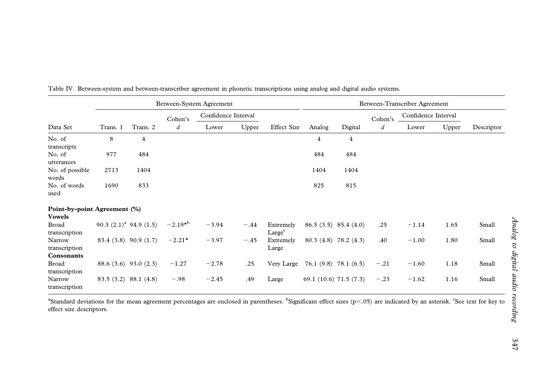|                                               |                             |          |                  | Between-System Agreement |        |                                 |                         |                          |         | Between-Transcriber Agreement |       |            |
|-----------------------------------------------|-----------------------------|----------|------------------|--------------------------|--------|---------------------------------|-------------------------|--------------------------|---------|-------------------------------|-------|------------|
|                                               |                             |          | Cohen's          | Confidence Interval      |        |                                 |                         |                          | Cohen's | Confidence Interval           |       |            |
| Data Set                                      | Trans. 1                    | Trans. 2 | $\boldsymbol{d}$ | Lower                    | Upper  | <b>Effect Size</b>              | Analog                  | Digital                  | d       | Lower                         | Upper | Descriptor |
| No. of<br>transcripts                         | 8                           | 4        |                  |                          |        |                                 | 4                       | $\overline{4}$           |         |                               |       |            |
| No. of<br>utterances                          | 977                         | 484      |                  |                          |        |                                 | 484                     | 484                      |         |                               |       |            |
| No. of possible<br>words                      | 2713                        | 1404     |                  |                          |        |                                 | 1404                    | 1404                     |         |                               |       |            |
| No. of words<br>used                          | 1690                        | 833      |                  |                          |        |                                 | 825                     | 815                      |         |                               |       |            |
| Point-by-point Agreement (%)<br><b>Vowels</b> |                             |          |                  |                          |        |                                 |                         |                          |         |                               |       |            |
| <b>Broad</b><br>transcription                 | 90.3 $(2.1)^a$ 94.9 $(1.5)$ |          | $-2.19*^{b}$     | $-3.94$                  | $-.44$ | Extremely<br>Large <sup>c</sup> |                         | $86.5(3.5)$ $85.4(4.0)$  | .25     | $-1.14$                       | 1.65  | Small      |
| Narrow<br>transcription<br><b>Consonants</b>  | 83.4 (3.8) 90.9 (1.7)       |          | $-2.21*$         | $-3.97$                  | $-.45$ | Extremely<br>Large              |                         | $80.3(4.8)$ 78.2 $(4.3)$ | .40     | $-1.00$                       | 1.80  | Small      |
| <b>Broad</b><br>transcription                 | 88.6 (3.6) 93.0 (2.3)       |          | $-1.27$          | $-2.78$                  | .25    | Very Large                      |                         | 76.1(9.8)78.1(6.5)       | $-.21$  | $-1.60$                       | 1.18  | Small      |
| Narrow<br>transcription                       | 83.5 (3.2) 88.1 (4.8)       |          | $-.98$           | $-2.45$                  | .49    | Large                           | $69.1(10.6)$ 71.5 (7.3) |                          | $-.23$  | $-1.62$                       | 1.16  | Small      |

Table IV. Between-system and between-transcriber agreement in phonetic transcriptions using analog and digital audio systems.

<sup>a</sup>Standard deviations for the mean agreement percentages are enclosed in parentheses. <sup>b</sup>Significant effect sizes (p<.05) are indicated by an asterisk. <sup>c</sup>See text for key to effect size descriptors.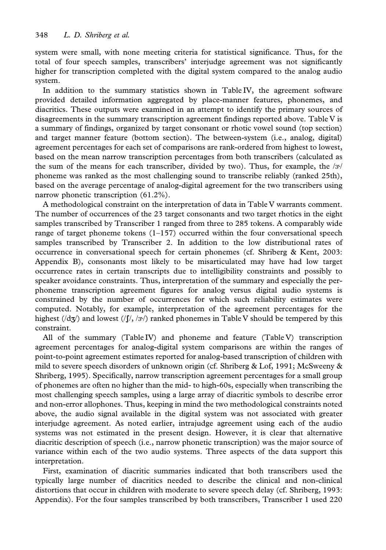system were small, with none meeting criteria for statistical significance. Thus, for the total of four speech samples, transcribers' interjudge agreement was not significantly higher for transcription completed with the digital system compared to the analog audio system.

In addition to the summary statistics shown in Table IV, the agreement software provided detailed information aggregated by place-manner features, phonemes, and diacritics. These outputs were examined in an attempt to identify the primary sources of disagreements in the summary transcription agreement findings reported above. Table V is a summary of findings, organized by target consonant or rhotic vowel sound (top section) and target manner feature (bottom section). The between-system (i.e., analog, digital) agreement percentages for each set of comparisons are rank-ordered from highest to lowest, based on the mean narrow transcription percentages from both transcribers (calculated as the sum of the means for each transcriber, divided by two). Thus, for example, the  $\sqrt{3}$ phoneme was ranked as the most challenging sound to transcribe reliably (ranked 25th), based on the average percentage of analog-digital agreement for the two transcribers using narrow phonetic transcription (61.2%).

A methodological constraint on the interpretation of data in Table V warrants comment. The number of occurrences of the 23 target consonants and two target rhotics in the eight samples transcribed by Transcriber 1 ranged from three to 285 tokens. A comparably wide range of target phoneme tokens  $(1-157)$  occurred within the four conversational speech samples transcribed by Transcriber 2. In addition to the low distributional rates of occurrence in conversational speech for certain phonemes (cf. Shriberg & Kent, 2003: Appendix B), consonants most likely to be misarticulated may have had low target occurrence rates in certain transcripts due to intelligibility constraints and possibly to speaker avoidance constraints. Thus, interpretation of the summary and especially the perphoneme transcription agreement figures for analog versus digital audio systems is constrained by the number of occurrences for which such reliability estimates were computed. Notably, for example, interpretation of the agreement percentages for the highest ( $\langle \mathrm{d}\mathrm{z}\rangle$ ) and lowest ( $\int \int \sqrt{s'}$ ) ranked phonemes in Table V should be tempered by this constraint.

All of the summary (Table IV) and phoneme and feature (Table V) transcription agreement percentages for analog-digital system comparisons are within the ranges of point-to-point agreement estimates reported for analog-based transcription of children with mild to severe speech disorders of unknown origin (cf. Shriberg & Lof, 1991; McSweeny & Shriberg, 1995). Specifically, narrow transcription agreement percentages for a small group of phonemes are often no higher than the mid- to high-60s, especially when transcribing the most challenging speech samples, using a large array of diacritic symbols to describe error and non-error allophones. Thus, keeping in mind the two methodological constraints noted above, the audio signal available in the digital system was not associated with greater interjudge agreement. As noted earlier, intrajudge agreement using each of the audio systems was not estimated in the present design. However, it is clear that alternative diacritic description of speech (i.e., narrow phonetic transcription) was the major source of variance within each of the two audio systems. Three aspects of the data support this interpretation.

First, examination of diacritic summaries indicated that both transcribers used the typically large number of diacritics needed to describe the clinical and non-clinical distortions that occur in children with moderate to severe speech delay (cf. Shriberg, 1993: Appendix). For the four samples transcribed by both transcribers, Transcriber 1 used 220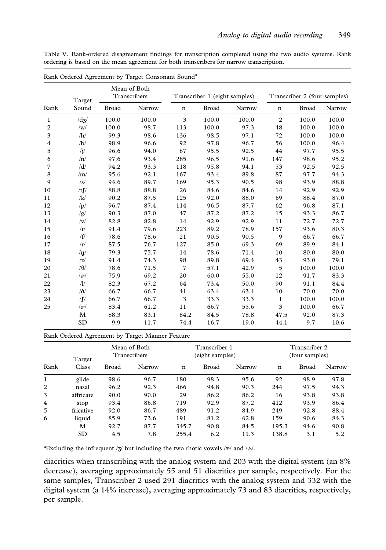|                |            |              | Rank Ordered Agreement by Target Consonant Sound <sup>a</sup> |                |                               |        |                |              |                              |
|----------------|------------|--------------|---------------------------------------------------------------|----------------|-------------------------------|--------|----------------|--------------|------------------------------|
|                | Target     |              | Mean of Both<br>Transcribers                                  |                | Transcriber 1 (eight samples) |        |                |              | Transcriber 2 (four samples) |
| Rank           | Sound      | <b>Broad</b> | Narrow                                                        | $\mathbf n$    | <b>Broad</b>                  | Narrow | n              | <b>Broad</b> | Narrow                       |
| $\mathbf{1}$   | /dz/       | 100.0        | 100.0                                                         | 3              | 100.0                         | 100.0  | $\overline{2}$ | 100.0        | 100.0                        |
| 2              | /w/        | 100.0        | 98.7                                                          | 113            | 100.0                         | 97.3   | 48             | 100.0        | 100.0                        |
| 3              | /h/        | 99.3         | 98.6                                                          | 136            | 98.5                          | 97.1   | 72             | 100.0        | 100.0                        |
| $\overline{4}$ | /b/        | 98.9         | 96.6                                                          | 92             | 97.8                          | 96.7   | 56             | 100.0        | 96.4                         |
| 5              | /ij/       | 96.6         | 94.0                                                          | 67             | 95.5                          | 92.5   | 44             | 97.7         | 95.5                         |
| 6              | /n/        | 97.6         | 93.4                                                          | 285            | 96.5                          | 91.6   | 147            | 98.6         | 95.2                         |
| 7              | /d/        | 94.2         | 93.3                                                          | 118            | 95.8                          | 94.1   | 53             | 92.5         | 92.5                         |
| 8              | /m/        | 95.6         | 92.1                                                          | 167            | 93.4                          | 89.8   | 87             | 97.7         | 94.3                         |
| 9              | $\sqrt{s}$ | 94.6         | 89.7                                                          | 169            | 95.3                          | 90.5   | 98             | 93.9         | 88.8                         |
| 10             | $/t \int$  | 88.8         | 88.8                                                          | 26             | 84.6                          | 84.6   | 14             | 92.9         | 92.9                         |
| 11             | /k/        | 90.2         | 87.5                                                          | 125            | 92.0                          | 88.0   | 69             | 88.4         | 87.0                         |
| 12             | /p/        | 96.7         | 87.4                                                          | 114            | 96.5                          | 87.7   | 62             | 96.8         | 87.1                         |
| 13             | /g/        | 90.3         | 87.0                                                          | 47             | 87.2                          | 87.2   | 15             | 93.3         | 86.7                         |
| 14             | v          | 82.8         | 82.8                                                          | 14             | 92.9                          | 92.9   | 11             | 72.7         | 72.7                         |
| 15             | /t/        | 91.4         | 79.6                                                          | 223            | 89.2                          | 78.9   | 157            | 93.6         | 80.3                         |
| 16             | /f/        | 78.6         | 78.6                                                          | 21             | 90.5                          | 90.5   | 9              | 66.7         | 66.7                         |
| 17             | /r/        | 87.5         | 76.7                                                          | 127            | 85.0                          | 69.3   | 69             | 89.9         | 84.1                         |
| 18             | /n/        | 79.3         | 75.7                                                          | 14             | 78.6                          | 71.4   | 10             | 80.0         | 80.0                         |
| 19             | z          | 91.4         | 74.3                                                          | 98             | 89.8                          | 69.4   | 43             | 93.0         | 79.1                         |
| 20             | $/\theta$  | 78.6         | 71.5                                                          | $\overline{7}$ | 57.1                          | 42.9   | 5              | 100.0        | 100.0                        |
| 21             | $\sqrt{3}$ | 75.9         | 69.2                                                          | 20             | 60.0                          | 55.0   | 12             | 91.7         | 83.3                         |
| 22             | $\sqrt{1}$ | 82.3         | 67.2                                                          | 64             | 73.4                          | 50.0   | 90             | 91.1         | 84.4                         |
| 23             | $\delta$   | 66.7         | 66.7                                                          | 41             | 63.4                          | 63.4   | 10             | 70.0         | 70.0                         |
| 24             | $\int$     | 66.7         | 66.7                                                          | 3              | 33.3                          | 33.3   | $\mathbf{1}$   | 100.0        | 100.0                        |
| 25             | $\sqrt{3}$ | 83.4         | 61.2                                                          | 11             | 66.7                          | 55.6   | 3              | 100.0        | 66.7                         |
|                | М          | 88.3         | 83.1                                                          | 84.2           | 84.5                          | 78.8   | 47.5           | 92.0         | 87.3                         |
|                | <b>SD</b>  | 9.9          | 11.7                                                          | 74.4           | 16.7                          | 19.0   | 44.1           | 9.7          | 10.6                         |

Table V. Rank-ordered disagreement findings for transcription completed using the two audio systems. Rank ordering is based on the mean agreement for both transcribers for narrow transcription.

Rank Ordered Agreement by Target Manner Feature

|              | Target    |              | Mean of Both<br><b>Transcribers</b> |       | Transcriber 1<br>(eight samples) |        |       | Transcriber 2<br>(four samples) |        |
|--------------|-----------|--------------|-------------------------------------|-------|----------------------------------|--------|-------|---------------------------------|--------|
| Rank         | Class     | <b>Broad</b> | Narrow                              | n     | <b>Broad</b>                     | Narrow | n     | <b>Broad</b>                    | Narrow |
| $\mathbf{1}$ | glide     | 98.6         | 96.7                                | 180   | 98.3                             | 95.6   | 92    | 98.9                            | 97.8   |
| 2            | nasal     | 96.2         | 92.3                                | 466   | 94.8                             | 90.3   | 244   | 97.5                            | 94.3   |
| 3            | affricate | 90.0         | 90.0                                | 29    | 86.2                             | 86.2   | 16    | 93.8                            | 93.8   |
| 4            | stop      | 93.4         | 86.8                                | 719   | 92.9                             | 87.2   | 412   | 93.9                            | 86.4   |
| 5            | fricative | 92.0         | 86.7                                | 489   | 91.2                             | 84.9   | 249   | 92.8                            | 88.4   |
| 6            | liquid    | 85.9         | 73.6                                | 191   | 81.2                             | 62.8   | 159   | 90.6                            | 84.3   |
|              | M         | 92.7         | 87.7                                | 345.7 | 90.8                             | 84.5   | 195.3 | 94.6                            | 90.8   |
|              | <b>SD</b> | 4.5          | 7.8                                 | 255.4 | 6.2                              | 11.3   | 138.8 | 3.1                             | 5.2    |

<sup>a</sup> Excluding the infrequent / $\zeta$ / but including the two rhotic vowels / $\zeta$ / and / $\partial\psi$ .

diacritics when transcribing with the analog system and 203 with the digital system (an 8% decrease), averaging approximately 55 and 51 diacritics per sample, respectively. For the same samples, Transcriber 2 used 291 diacritics with the analog system and 332 with the digital system (a 14% increase), averaging approximately 73 and 83 diacritics, respectively, per sample.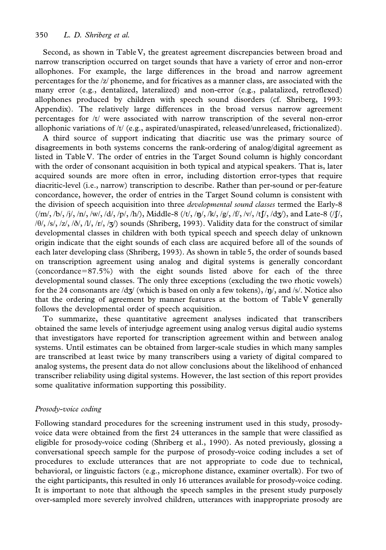Second, as shown in Table V, the greatest agreement discrepancies between broad and narrow transcription occurred on target sounds that have a variety of error and non-error allophones. For example, the large differences in the broad and narrow agreement percentages for the /z/ phoneme, and for fricatives as a manner class, are associated with the many error (e.g., dentalized, lateralized) and non-error (e.g., palatalized, retroflexed) allophones produced by children with speech sound disorders (cf. Shriberg, 1993: Appendix). The relatively large differences in the broad versus narrow agreement percentages for /t/ were associated with narrow transcription of the several non-error allophonic variations of /t/ (e.g., aspirated/unaspirated, released/unreleased, frictionalized).

A third source of support indicating that diacritic use was the primary source of disagreements in both systems concerns the rank-ordering of analog/digital agreement as listed in Table V. The order of entries in the Target Sound column is highly concordant with the order of consonant acquisition in both typical and atypical speakers. That is, later acquired sounds are more often in error, including distortion error-types that require diacritic-level (i.e., narrow) transcription to describe. Rather than per-sound or per-feature concordance, however, the order of entries in the Target Sound column is consistent with the division of speech acquisition into three developmental sound classes termed the Early-8  $(\langle m \rangle, \langle b \rangle, \langle j \rangle, \langle n \rangle, \langle w \rangle, \langle d \rangle, \langle p \rangle, \langle h \rangle)$ , Middle-8  $(\langle t \rangle, \langle n \rangle, \langle k \rangle, \langle g \rangle, \langle f \rangle, \langle v \rangle, \langle t \rangle)$ , and Late-8  $(\langle f \rangle, \langle k \rangle, \langle k \rangle, \langle k \rangle, \langle k \rangle, \langle k \rangle)$  $/ \theta / \sqrt{s}$ , /z/, / $\delta / \sqrt{l}$ , /r/, /z/) sounds (Shriberg, 1993). Validity data for the construct of similar developmental classes in children with both typical speech and speech delay of unknown origin indicate that the eight sounds of each class are acquired before all of the sounds of each later developing class (Shriberg, 1993). As shown in table 5, the order of sounds based on transcription agreement using analog and digital systems is generally concordant  $(concordance=87.5%)$  with the eight sounds listed above for each of the three developmental sound classes. The only three exceptions (excluding the two rhotic vowels) for the 24 consonants are  $\frac{d\mathbf{x}}{d\mathbf{x}}$  (which is based on only a few tokens),  $\frac{d\mathbf{x}}{d\mathbf{x}}$ , and  $\frac{d\mathbf{x}}{d\mathbf{x}}$ . Notice also that the ordering of agreement by manner features at the bottom of Table V generally follows the developmental order of speech acquisition.

To summarize, these quantitative agreement analyses indicated that transcribers obtained the same levels of interjudge agreement using analog versus digital audio systems that investigators have reported for transcription agreement within and between analog systems. Until estimates can be obtained from larger-scale studies in which many samples are transcribed at least twice by many transcribers using a variety of digital compared to analog systems, the present data do not allow conclusions about the likelihood of enhanced transcriber reliability using digital systems. However, the last section of this report provides some qualitative information supporting this possibility.

## Prosody-voice coding

Following standard procedures for the screening instrument used in this study, prosodyvoice data were obtained from the first 24 utterances in the sample that were classified as eligible for prosody-voice coding (Shriberg et al., 1990). As noted previously, glossing a conversational speech sample for the purpose of prosody-voice coding includes a set of procedures to exclude utterances that are not appropriate to code due to technical, behavioral, or linguistic factors (e.g., microphone distance, examiner overtalk). For two of the eight participants, this resulted in only 16 utterances available for prosody-voice coding. It is important to note that although the speech samples in the present study purposely over-sampled more severely involved children, utterances with inappropriate prosody are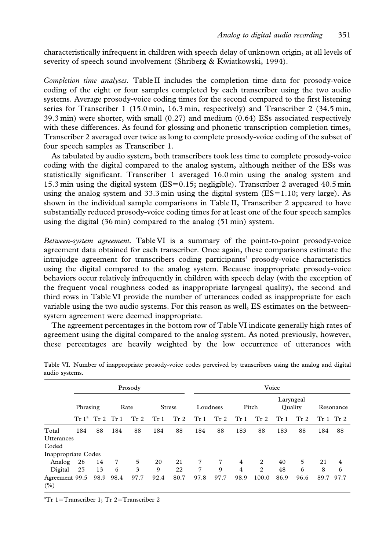characteristically infrequent in children with speech delay of unknown origin, at all levels of severity of speech sound involvement (Shriberg & Kwiatkowski, 1994).

Completion time analyses. Table II includes the completion time data for prosody-voice coding of the eight or four samples completed by each transcriber using the two audio systems. Average prosody-voice coding times for the second compared to the first listening series for Transcriber 1 (15.0 min, 16.3 min, respectively) and Transcriber 2 (34.5 min, 39.3 min) were shorter, with small (0.27) and medium (0.64) ESs associated respectively with these differences. As found for glossing and phonetic transcription completion times, Transcriber 2 averaged over twice as long to complete prosody-voice coding of the subset of four speech samples as Transcriber 1.

As tabulated by audio system, both transcribers took less time to complete prosody-voice coding with the digital compared to the analog system, although neither of the ESs was statistically significant. Transcriber 1 averaged 16.0 min using the analog system and 15.3 min using the digital system ( $ES=0.15$ ; negligible). Transcriber 2 averaged 40.5 min using the analog system and 33.3 min using the digital system  $(ES=1.10;$  very large). As shown in the individual sample comparisons in Table II, Transcriber 2 appeared to have substantially reduced prosody-voice coding times for at least one of the four speech samples using the digital (36 min) compared to the analog (51 min) system.

Between-system agreement. Table VI is a summary of the point-to-point prosody-voice agreement data obtained for each transcriber. Once again, these comparisons estimate the intrajudge agreement for transcribers coding participants' prosody-voice characteristics using the digital compared to the analog system. Because inappropriate prosody-voice behaviors occur relatively infrequently in children with speech delay (with the exception of the frequent vocal roughness coded as inappropriate laryngeal quality), the second and third rows in Table VI provide the number of utterances coded as inappropriate for each variable using the two audio systems. For this reason as well, ES estimates on the betweensystem agreement were deemed inappropriate.

The agreement percentages in the bottom row of Table VI indicate generally high rates of agreement using the digital compared to the analog system. As noted previously, however, these percentages are heavily weighted by the low occurrence of utterances with

|                           |                             |      |      | Prosody         |                 |                 |                 |                 |                 | Voice           |                 |                 |      |           |
|---------------------------|-----------------------------|------|------|-----------------|-----------------|-----------------|-----------------|-----------------|-----------------|-----------------|-----------------|-----------------|------|-----------|
|                           | Phrasing                    |      |      | Rate            | <b>Stress</b>   |                 | Loudness        |                 |                 | Pitch           | Ouality         | Laryngeal       |      | Resonance |
|                           | Tr 1 <sup>a</sup> Tr 2 Tr 1 |      |      | Tr <sub>2</sub> | Tr <sub>1</sub> | Tr <sub>2</sub> | Tr <sub>1</sub> | Tr <sub>2</sub> | Tr <sub>1</sub> | Tr <sub>2</sub> | Tr <sub>1</sub> | Tr <sub>2</sub> |      | Tr 1 Tr 2 |
| Total                     | 184                         | 88   | 184  | 88              | 184             | 88              | 184             | 88              | 183             | 88              | 183             | 88              | 184  | 88        |
| <b>Utterances</b>         |                             |      |      |                 |                 |                 |                 |                 |                 |                 |                 |                 |      |           |
| Coded                     |                             |      |      |                 |                 |                 |                 |                 |                 |                 |                 |                 |      |           |
| Inappropriate Codes       |                             |      |      |                 |                 |                 |                 |                 |                 |                 |                 |                 |      |           |
| Analog                    | 26                          | 14   | 7    | 5               | 20              | 21              | 7               | 7               | 4               | 2               | 40              | 5               | 21   | 4         |
| Digital                   | 25                          | 13   | 6    | 3               | 9               | 22              | 7               | 9               | 4               | 2               | 48              | 6               | 8    | 6         |
| Agreement 99.5<br>$(\% )$ |                             | 98.9 | 98.4 | 97.7            | 92.4            | 80.7            | 97.8            | 97.7            | 98.9            | 100.0           | 86.9            | 96.6            | 89.7 | 97.7      |

Table VI. Number of inappropriate prosody-voice codes perceived by transcribers using the analog and digital audio systems.

 ${}^{a}$ Tr 1=Transcriber 1; Tr 2=Transcriber 2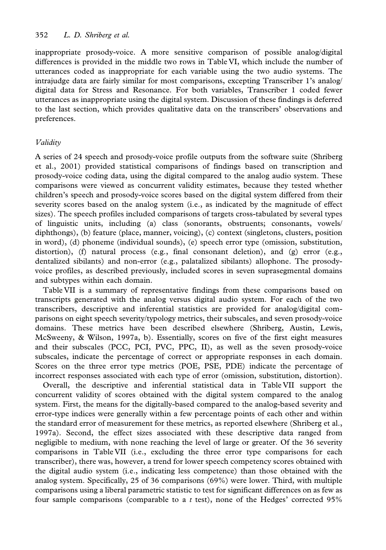inappropriate prosody-voice. A more sensitive comparison of possible analog/digital differences is provided in the middle two rows in Table VI, which include the number of utterances coded as inappropriate for each variable using the two audio systems. The intrajudge data are fairly similar for most comparisons, excepting Transcriber 1's analog/ digital data for Stress and Resonance. For both variables, Transcriber 1 coded fewer utterances as inappropriate using the digital system. Discussion of these findings is deferred to the last section, which provides qualitative data on the transcribers' observations and preferences.

## Validity

A series of 24 speech and prosody-voice profile outputs from the software suite (Shriberg et al., 2001) provided statistical comparisons of findings based on transcription and prosody-voice coding data, using the digital compared to the analog audio system. These comparisons were viewed as concurrent validity estimates, because they tested whether children's speech and prosody-voice scores based on the digital system differed from their severity scores based on the analog system (i.e., as indicated by the magnitude of effect sizes). The speech profiles included comparisons of targets cross-tabulated by several types of linguistic units, including (a) class (sonorants, obstruents; consonants, vowels/ diphthongs), (b) feature (place, manner, voicing), (c) context (singletons, clusters, position in word), (d) phoneme (individual sounds), (e) speech error type (omission, substitution, distortion), (f) natural process (e.g., final consonant deletion), and (g) error (e.g., dentalized sibilants) and non-error (e.g., palatalized sibilants) allophone. The prosodyvoice profiles, as described previously, included scores in seven suprasegmental domains and subtypes within each domain.

Table VII is a summary of representative findings from these comparisons based on transcripts generated with the analog versus digital audio system. For each of the two transcribers, descriptive and inferential statistics are provided for analog/digital comparisons on eight speech severity/typology metrics, their subscales, and seven prosody-voice domains. These metrics have been described elsewhere (Shriberg, Austin, Lewis, McSweeny, & Wilson, 1997a, b). Essentially, scores on five of the first eight measures and their subscales (PCC, PCI, PVC, PPC, II), as well as the seven prosody-voice subscales, indicate the percentage of correct or appropriate responses in each domain. Scores on the three error type metrics (POE, PSE, PDE) indicate the percentage of incorrect responses associated with each type of error (omission, substitution, distortion).

Overall, the descriptive and inferential statistical data in Table VII support the concurrent validity of scores obtained with the digital system compared to the analog system. First, the means for the digitally-based compared to the analog-based severity and error-type indices were generally within a few percentage points of each other and within the standard error of measurement for these metrics, as reported elsewhere (Shriberg et al., 1997a). Second, the effect sizes associated with these descriptive data ranged from negligible to medium, with none reaching the level of large or greater. Of the 36 severity comparisons in Table VII (i.e., excluding the three error type comparisons for each transcriber), there was, however, a trend for lower speech competency scores obtained with the digital audio system (i.e., indicating less competence) than those obtained with the analog system. Specifically, 25 of 36 comparisons (69%) were lower. Third, with multiple comparisons using a liberal parametric statistic to test for significant differences on as few as four sample comparisons (comparable to a  $t$  test), none of the Hedges' corrected 95%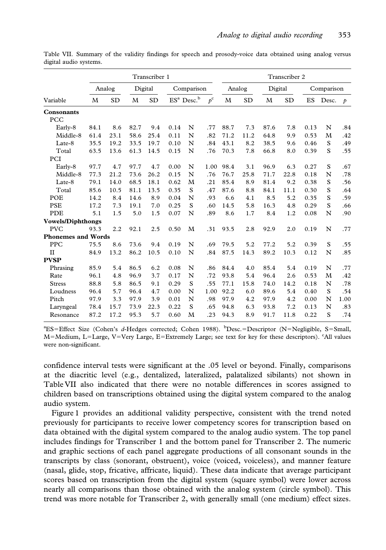|                                 |      |           |         | Transcriber 1 |      |                                    |             |        |           |         | Transcriber 2 |      |            |               |
|---------------------------------|------|-----------|---------|---------------|------|------------------------------------|-------------|--------|-----------|---------|---------------|------|------------|---------------|
|                                 |      | Analog    | Digital |               |      | Comparison                         |             | Analog |           | Digital |               |      | Comparison |               |
| Variable                        | M    | <b>SD</b> | M       | <b>SD</b>     |      | ES <sup>a</sup> Desc. <sup>b</sup> | $p^{\rm c}$ | M      | <b>SD</b> | M       | <b>SD</b>     | ES   | Desc.      | $\mathcal{P}$ |
| <b>Consonants</b><br><b>PCC</b> |      |           |         |               |      |                                    |             |        |           |         |               |      |            |               |
| Early-8                         | 84.1 | 8.6       | 82.7    | 9.4           | 0.14 | N                                  | .77         | 88.7   | 7.3       | 87.6    | 7.8           | 0.13 | N          | .84           |
| Middle-8                        | 61.4 | 23.1      | 58.6    | 25.4          | 0.11 | N                                  | .82         | 71.2   | 11.2      | 64.8    | 9.9           | 0.53 | M          | .42           |
| Late-8                          | 35.5 | 19.2      | 33.5    | 19.7          | 0.10 | N                                  | .84         | 43.1   | 8.2       | 38.5    | 9.6           | 0.46 | S          | .49           |
| Total                           | 63.5 | 13.6      | 61.3    | 14.5          | 0.15 | N                                  | .76         | 70.3   | 7.8       | 66.8    | 8.0           | 0.39 | S          | .55           |
| PCI                             |      |           |         |               |      |                                    |             |        |           |         |               |      |            |               |
| Early-8                         | 97.7 | 4.7       | 97.7    | 4.7           | 0.00 | N                                  | 1.00        | 98.4   | 3.1       | 96.9    | 6.3           | 0.27 | S          | .67           |
| Middle-8                        | 77.3 | 21.2      | 73.6    | 26.2          | 0.15 | N                                  | .76         | 76.7   | 25.8      | 71.7    | 22.8          | 0.18 | N          | .78           |
| Late-8                          | 79.1 | 14.0      | 68.5    | 18.1          | 0.62 | M                                  | .21         | 85.4   | 8.9       | 81.4    | 9.2           | 0.38 | S          | .56           |
| Total                           | 85.6 | 10.5      | 81.1    | 13.5          | 0.35 | S                                  | .47         | 87.6   | 8.8       | 84.1    | 11.1          | 0.30 | S          | .64           |
| POE                             | 14.2 | 8.4       | 14.6    | 8.9           | 0.04 | N                                  | .93         | 6.6    | 4.1       | 8.5     | 5.2           | 0.35 | S          | .59           |
| <b>PSE</b>                      | 17.2 | 7.3       | 19.1    | 7.0           | 0.25 | S                                  | .60         | 14.5   | 5.8       | 16.3    | 4.8           | 0.29 | S          | .66           |
| <b>PDE</b>                      | 5.1  | 1.5       | 5.0     | 1.5           | 0.07 | N                                  | .89         | 8.6    | 1.7       | 8.4     | 1.2           | 0.08 | N          | .90           |
| <b>Vowels/Diphthongs</b>        |      |           |         |               |      |                                    |             |        |           |         |               |      |            |               |
| <b>PVC</b>                      | 93.3 | 2.2       | 92.1    | 2.5           | 0.50 | M                                  | .31         | 93.5   | 2.8       | 92.9    | 2.0           | 0.19 | N          | .77           |
| <b>Phonemes and Words</b>       |      |           |         |               |      |                                    |             |        |           |         |               |      |            |               |
| <b>PPC</b>                      | 75.5 | 8.6       | 73.6    | 9.4           | 0.19 | N                                  | .69         | 79.5   | 5.2       | 77.2    | 5.2           | 0.39 | S          | .55           |
| $_{\rm II}$                     | 84.9 | 13.2      | 86.2    | 10.5          | 0.10 | N                                  | .84         | 87.5   | 14.3      | 89.2    | 10.3          | 0.12 | N          | .85           |
| <b>PVSP</b>                     |      |           |         |               |      |                                    |             |        |           |         |               |      |            |               |
| Phrasing                        | 85.9 | 5.4       | 86.5    | 6.2           | 0.08 | N                                  | .86         | 84.4   | 4.0       | 85.4    | 5.4           | 0.19 | N          | .77           |
| Rate                            | 96.1 | 4.8       | 96.9    | 3.7           | 0.17 | N                                  | .72         | 93.8   | 5.4       | 96.4    | 2.6           | 0.53 | M          | .42           |
| <b>Stress</b>                   | 88.8 | 5.8       | 86.5    | 9.1           | 0.29 | S                                  | .55         | 77.1   | 15.8      | 74.0    | 14.2          | 0.18 | N          | .78           |
| Loudness                        | 96.4 | 5.7       | 96.4    | 4.7           | 0.00 | N                                  | 1.00        | 92.2   | 6.0       | 89.6    | 5.4           | 0.40 | S          | .54           |
| Pitch                           | 97.9 | 3.3       | 97.9    | 3.9           | 0.01 | N                                  | .98         | 97.9   | 4.2       | 97.9    | 4.2           | 0.00 | N          | 1.00          |
| Laryngeal                       | 78.4 | 15.7      | 73.9    | 22.3          | 0.22 | S                                  | .65         | 94.8   | 6.3       | 93.8    | 7.2           | 0.13 | N          | .83           |
| Resonance                       | 87.2 | 17.2      | 95.3    | 5.7           | 0.60 | M                                  | .23         | 94.3   | 8.9       | 91.7    | 11.8          | 0.22 | S          | .74           |

Table VII. Summary of the validity findings for speech and prosody-voice data obtained using analog versus digital audio systems.

<sup>a</sup>ES=Effect Size (Cohen's d-Hedges corrected; Cohen 1988). <sup>b</sup>Desc.=Descriptor (N=Negligible, S=Small, M=Medium, L=Large, V=Very Large, E=Extremely Large; see text for key for these descriptors). <sup>c</sup>All values were non-significant.

confidence interval tests were significant at the .05 level or beyond. Finally, comparisons at the diacritic level (e.g., dentalized, lateralized, palatalized sibilants) not shown in Table VII also indicated that there were no notable differences in scores assigned to children based on transcriptions obtained using the digital system compared to the analog audio system.

Figure 1 provides an additional validity perspective, consistent with the trend noted previously for participants to receive lower competency scores for transcription based on data obtained with the digital system compared to the analog audio system. The top panel includes findings for Transcriber 1 and the bottom panel for Transcriber 2. The numeric and graphic sections of each panel aggregate productions of all consonant sounds in the transcripts by class (sonorant, obstruent), voice (voiced, voiceless), and manner feature (nasal, glide, stop, fricative, affricate, liquid). These data indicate that average participant scores based on transcription from the digital system (square symbol) were lower across nearly all comparisons than those obtained with the analog system (circle symbol). This trend was more notable for Transcriber 2, with generally small (one medium) effect sizes.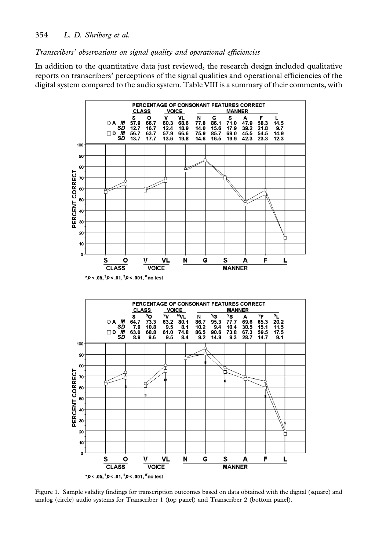## Transcribers' observations on signal quality and operational efficiencies

In addition to the quantitative data just reviewed, the research design included qualitative reports on transcribers' perceptions of the signal qualities and operational efficiencies of the digital system compared to the audio system. Table VIII is a summary of their comments, with



Figure 1. Sample validity findings for transcription outcomes based on data obtained with the digital (square) and analog (circle) audio systems for Transcriber 1 (top panel) and Transcriber 2 (bottom panel).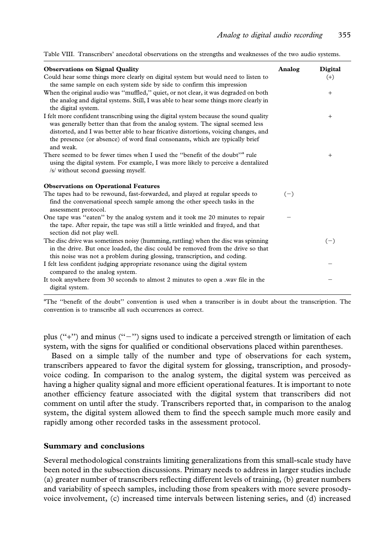Table VIII. Transcribers' anecdotal observations on the strengths and weaknesses of the two audio systems.

| <b>Observations on Signal Quality</b>                                                                                                                                                                                                                                                                                                                        | Analog | <b>Digital</b> |
|--------------------------------------------------------------------------------------------------------------------------------------------------------------------------------------------------------------------------------------------------------------------------------------------------------------------------------------------------------------|--------|----------------|
| Could hear some things more clearly on digital system but would need to listen to<br>the same sample on each system side by side to confirm this impression                                                                                                                                                                                                  |        | $^{(+)}$       |
| When the original audio was "muffled," quiet, or not clear, it was degraded on both<br>the analog and digital systems. Still, I was able to hear some things more clearly in<br>the digital system.                                                                                                                                                          |        | $+$            |
| I felt more confident transcribing using the digital system because the sound quality<br>was generally better than that from the analog system. The signal seemed less<br>distorted, and I was better able to hear fricative distortions, voicing changes, and<br>the presence (or absence) of word final consonants, which are typically brief<br>and weak. |        | $+$            |
| There seemed to be fewer times when I used the "benefit of the doubt" rule<br>using the digital system. For example, I was more likely to perceive a dentalized<br>/s/ without second guessing myself.                                                                                                                                                       |        | $+$            |
| <b>Observations on Operational Features</b>                                                                                                                                                                                                                                                                                                                  |        |                |
| The tapes had to be rewound, fast-forwarded, and played at regular speeds to<br>find the conversational speech sample among the other speech tasks in the<br>assessment protocol.                                                                                                                                                                            | $(-)$  |                |
| One tape was "eaten" by the analog system and it took me 20 minutes to repair<br>the tape. After repair, the tape was still a little wrinkled and frayed, and that<br>section did not play well.                                                                                                                                                             |        |                |
| The disc drive was sometimes noisy (humming, rattling) when the disc was spinning<br>in the drive. But once loaded, the disc could be removed from the drive so that<br>this noise was not a problem during glossing, transcription, and coding.                                                                                                             |        | $(-)$          |
| I felt less confident judging appropriate resonance using the digital system<br>compared to the analog system.                                                                                                                                                                                                                                               |        |                |
| It took anywhere from 30 seconds to almost 2 minutes to open a way file in the<br>digital system.                                                                                                                                                                                                                                                            |        |                |

<sup>a</sup>The "benefit of the doubt" convention is used when a transcriber is in doubt about the transcription. The convention is to transcribe all such occurrences as correct.

plus  $($ "+") and minus  $($ "-") signs used to indicate a perceived strength or limitation of each system, with the signs for qualified or conditional observations placed within parentheses.

Based on a simple tally of the number and type of observations for each system, transcribers appeared to favor the digital system for glossing, transcription, and prosodyvoice coding. In comparison to the analog system, the digital system was perceived as having a higher quality signal and more efficient operational features. It is important to note another efficiency feature associated with the digital system that transcribers did not comment on until after the study. Transcribers reported that, in comparison to the analog system, the digital system allowed them to find the speech sample much more easily and rapidly among other recorded tasks in the assessment protocol.

#### Summary and conclusions

Several methodological constraints limiting generalizations from this small-scale study have been noted in the subsection discussions. Primary needs to address in larger studies include (a) greater number of transcribers reflecting different levels of training, (b) greater numbers and variability of speech samples, including those from speakers with more severe prosodyvoice involvement, (c) increased time intervals between listening series, and (d) increased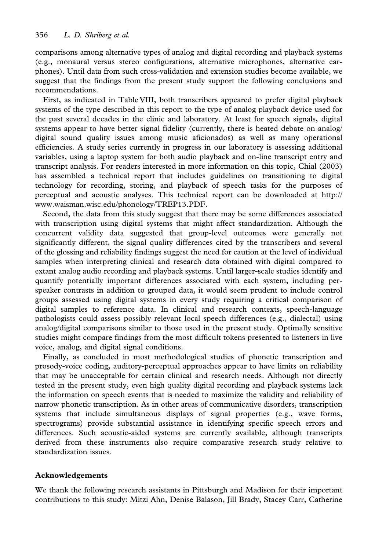comparisons among alternative types of analog and digital recording and playback systems (e.g., monaural versus stereo configurations, alternative microphones, alternative earphones). Until data from such cross-validation and extension studies become available, we suggest that the findings from the present study support the following conclusions and recommendations.

First, as indicated in Table VIII, both transcribers appeared to prefer digital playback systems of the type described in this report to the type of analog playback device used for the past several decades in the clinic and laboratory. At least for speech signals, digital systems appear to have better signal fidelity (currently, there is heated debate on analog/ digital sound quality issues among music aficionados) as well as many operational efficiencies. A study series currently in progress in our laboratory is assessing additional variables, using a laptop system for both audio playback and on-line transcript entry and transcript analysis. For readers interested in more information on this topic, Chial (2003) has assembled a technical report that includes guidelines on transitioning to digital technology for recording, storing, and playback of speech tasks for the purposes of perceptual and acoustic analyses. This technical report can be downloaded at http:// www.waisman.wisc.edu/phonology/TREP13.PDF.

Second, the data from this study suggest that there may be some differences associated with transcription using digital systems that might affect standardization. Although the concurrent validity data suggested that group-level outcomes were generally not significantly different, the signal quality differences cited by the transcribers and several of the glossing and reliability findings suggest the need for caution at the level of individual samples when interpreting clinical and research data obtained with digital compared to extant analog audio recording and playback systems. Until larger-scale studies identify and quantify potentially important differences associated with each system, including perspeaker contrasts in addition to grouped data, it would seem prudent to include control groups assessed using digital systems in every study requiring a critical comparison of digital samples to reference data. In clinical and research contexts, speech-language pathologists could assess possibly relevant local speech differences (e.g., dialectal) using analog/digital comparisons similar to those used in the present study. Optimally sensitive studies might compare findings from the most difficult tokens presented to listeners in live voice, analog, and digital signal conditions.

Finally, as concluded in most methodological studies of phonetic transcription and prosody-voice coding, auditory-perceptual approaches appear to have limits on reliability that may be unacceptable for certain clinical and research needs. Although not directly tested in the present study, even high quality digital recording and playback systems lack the information on speech events that is needed to maximize the validity and reliability of narrow phonetic transcription. As in other areas of communicative disorders, transcription systems that include simultaneous displays of signal properties (e.g., wave forms, spectrograms) provide substantial assistance in identifying specific speech errors and differences. Such acoustic-aided systems are currently available, although transcripts derived from these instruments also require comparative research study relative to standardization issues.

## Acknowledgements

We thank the following research assistants in Pittsburgh and Madison for their important contributions to this study: Mitzi Ahn, Denise Balason, Jill Brady, Stacey Carr, Catherine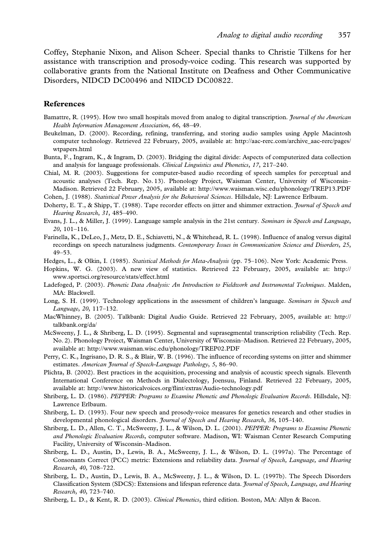Coffey, Stephanie Nixon, and Alison Scheer. Special thanks to Christie Tilkens for her assistance with transcription and prosody-voice coding. This research was supported by collaborative grants from the National Institute on Deafness and Other Communicative Disorders, NIDCD DC00496 and NIDCD DC00822.

#### References

- Bamattre, R. (1995). How two small hospitals moved from analog to digital transcription. *Journal of the American* Health Information Management Association, 66, 48–49.
- Beukelman, D. (2000). Recording, refining, transferring, and storing audio samples using Apple Macintosh computer technology. Retrieved 22 February, 2005, available at: http://aac-rerc.com/archive\_aac-rerc/pages/ wtpapers.html
- Bunta, F., Ingram, K., & Ingram, D. (2003). Bridging the digital divide: Aspects of computerized data collection and analysis for language professionals. Clinical Linguistics and Phonetics, 17, 217–240.
- Chial, M. R. (2003). Suggestions for computer-based audio recording of speech samples for perceptual and acoustic analyses (Tech. Rep. No. 13). Phonology Project, Waisman Center, University of Wisconsin– Madison. Retrieved 22 February, 2005, available at: http://www.waisman.wisc.edu/phonology/TREP13.PDF

Cohen, J. (1988). Statistical Power Analysis for the Behavioral Sciences. Hillsdale, NJ: Lawrence Erlbaum.

- Doherty, E. T., & Shipp, T. (1988). Tape recorder effects on jitter and shimmer extraction. *Journal of Speech and* Hearing Research, 31, 485–490.
- Evans, J. L., & Miller, J. (1999). Language sample analysis in the 21st century. Seminars in Speech and Language, 20, 101–116.
- Farinella, K., DeLeo, J., Metz, D. E., Schiavetti, N., & Whitehead, R. L. (1998). Influence of analog versus digital recordings on speech naturalness judgments. Contemporary Issues in Communication Science and Disorders, 25, 49–53.
- Hedges, L., & Olkin, I. (1985). Statistical Methods for Meta-Analysis (pp. 75-106). New York: Academic Press.
- Hopkins, W. G. (2003). A new view of statistics. Retrieved 22 February, 2005, available at: http:// www.sportsci.org/resource/stats/effect.html
- Ladefoged, P. (2003). Phonetic Data Analysis: An Introduction to Fieldwork and Instrumental Techniques. Malden, MA: Blackwell.
- Long, S. H. (1999). Technology applications in the assessment of children's language. Seminars in Speech and Language, 20, 117–132.
- MacWhinney, B. (2005). Talkbank: Digital Audio Guide. Retrieved 22 February, 2005, available at: http:// talkbank.org/da/
- McSweeny, J. L., & Shriberg, L. D. (1995). Segmental and suprasegmental transcription reliability (Tech. Rep. No. 2). Phonology Project, Waisman Center, University of Wisconsin–Madison. Retrieved 22 February, 2005, available at: http://www.waisman.wisc.edu/phonology/TREP02.PDF
- Perry, C. K., Ingrisano, D. R. S., & Blair, W. B. (1996). The influence of recording systems on jitter and shimmer estimates. American Journal of Speech-Language Pathology, 5, 86-90.
- Plichta, B. (2002). Best practices in the acquisition, processing and analysis of acoustic speech signals. Eleventh International Conference on Methods in Dialectology, Joensuu, Finland. Retrieved 22 February, 2005, available at: http://www.historicalvoices.org/flint/extras/Audio-technology.pdf
- Shriberg, L. D. (1986). PEPPER: Programs to Examine Phonetic and Phonologic Evaluation Records. Hillsdale, NJ: Lawrence Erlbaum.
- Shriberg, L. D. (1993). Four new speech and prosody-voice measures for genetics research and other studies in developmental phonological disorders. Journal of Speech and Hearing Research, 36, 105-140.
- Shriberg, L. D., Allen, C. T., McSweeny, J. L., & Wilson, D. L. (2001). PEPPER: Programs to Examine Phonetic and Phonologic Evaluation Records, computer software. Madison, WI: Waisman Center Research Computing Facility, University of Wisconsin–Madison.
- Shriberg, L. D., Austin, D., Lewis, B. A., McSweeny, J. L., & Wilson, D. L. (1997a). The Percentage of Consonants Correct (PCC) metric: Extensions and reliability data. Journal of Speech, Language, and Hearing Research, 40, 708–722.
- Shriberg, L. D., Austin, D., Lewis, B. A., McSweeny, J. L., & Wilson, D. L. (1997b). The Speech Disorders Classification System (SDCS): Extensions and lifespan reference data. Journal of Speech, Language, and Hearing Research, 40, 723–740.
- Shriberg, L. D., & Kent, R. D. (2003). Clinical Phonetics, third edition. Boston, MA: Allyn & Bacon.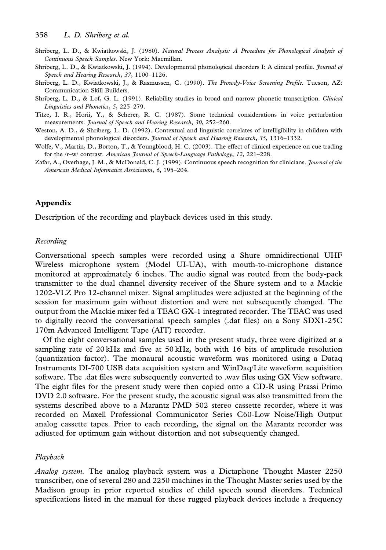- Shriberg, L. D., & Kwiatkowski, J. (1980). Natural Process Analysis: A Procedure for Phonological Analysis of Continuous Speech Samples. New York: Macmillan.
- Shriberg, L. D., & Kwiatkowski, J. (1994). Developmental phonological disorders I: A clinical profile. Journal of Speech and Hearing Research, 37, 1100–1126.
- Shriberg, L. D., Kwiatkowski, J., & Rasmussen, C. (1990). The Prosody-Voice Screening Profile. Tucson, AZ: Communication Skill Builders.
- Shriberg, L. D., & Lof, G. L. (1991). Reliability studies in broad and narrow phonetic transcription. Clinical Linguistics and Phonetics, 5, 225–279.
- Titze, I. R., Horii, Y., & Scherer, R. C. (1987). Some technical considerations in voice perturbation measurements. Journal of Speech and Hearing Research, 30, 252–260.
- Weston, A. D., & Shriberg, L. D. (1992). Contextual and linguistic correlates of intelligibility in children with developmental phonological disorders. Journal of Speech and Hearing Research, 35, 1316-1332.
- Wolfe, V., Martin, D., Borton, T., & Youngblood, H. C. (2003). The effect of clinical experience on cue trading for the /r-w/ contrast. American Journal of Speech-Language Pathology, 12, 221-228.
- Zafar, A., Overhage, J. M., & McDonald, C. J. (1999). Continuous speech recognition for clinicians. Journal of the American Medical Informatics Association, 6, 195–204.

#### Appendix

Description of the recording and playback devices used in this study.

#### Recording

Conversational speech samples were recorded using a Shure omnidirectional UHF Wireless microphone system (Model UI-UA), with mouth-to-microphone distance monitored at approximately 6 inches. The audio signal was routed from the body-pack transmitter to the dual channel diversity receiver of the Shure system and to a Mackie 1202-VLZ Pro 12-channel mixer. Signal amplitudes were adjusted at the beginning of the session for maximum gain without distortion and were not subsequently changed. The output from the Mackie mixer fed a TEAC GX-1 integrated recorder. The TEAC was used to digitally record the conversational speech samples (.dat files) on a Sony SDX1-25C 170m Advanced Intelligent Tape (AIT) recorder.

Of the eight conversational samples used in the present study, three were digitized at a sampling rate of 20 kHz and five at 50 kHz, both with 16 bits of amplitude resolution (quantization factor). The monaural acoustic waveform was monitored using a Dataq Instruments DI-700 USB data acquisition system and WinDaq/Lite waveform acquisition software. The .dat files were subsequently converted to .wav files using GX View software. The eight files for the present study were then copied onto a CD-R using Prassi Primo DVD 2.0 software. For the present study, the acoustic signal was also transmitted from the systems described above to a Marantz PMD 502 stereo cassette recorder, where it was recorded on Maxell Professional Communicator Series C60-Low Noise/High Output analog cassette tapes. Prior to each recording, the signal on the Marantz recorder was adjusted for optimum gain without distortion and not subsequently changed.

#### Playback

Analog system. The analog playback system was a Dictaphone Thought Master 2250 transcriber, one of several 280 and 2250 machines in the Thought Master series used by the Madison group in prior reported studies of child speech sound disorders. Technical specifications listed in the manual for these rugged playback devices include a frequency